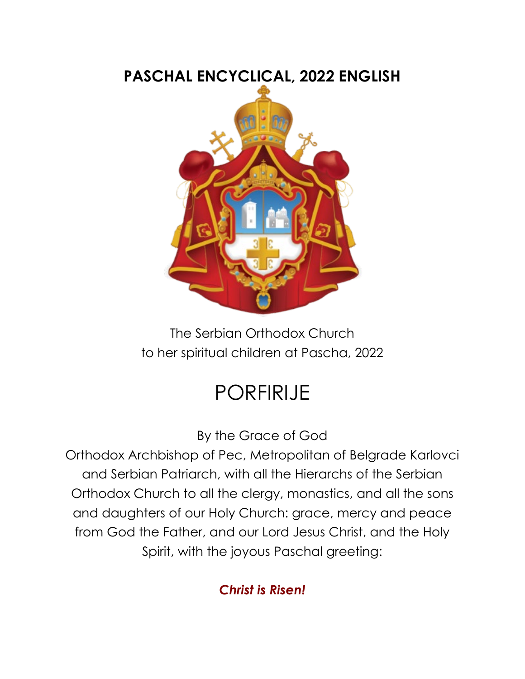# **PASCHAL ENCYCLICAL, 2022 ENGLISH**

The Serbian Orthodox Church to her spiritual children at Pascha, 2022

# PORFIRIJE

By the Grace of God

Orthodox Archbishop of Pec, Metropolitan of Belgrade Karlovci and Serbian Patriarch, with all the Hierarchs of the Serbian Orthodox Church to all the clergy, monastics, and all the sons and daughters of our Holy Church: grace, mercy and peace from God the Father, and our Lord Jesus Christ, and the Holy Spirit, with the joyous Paschal greeting:

# *Christ is Risen!*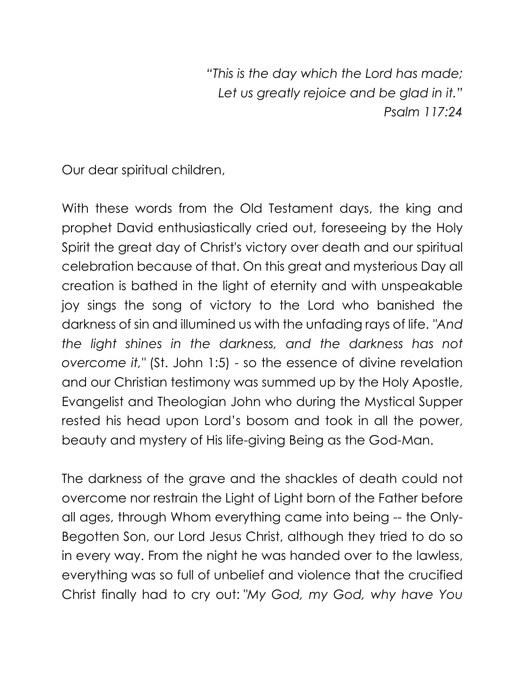*"This is the day which the Lord has made; Let us greatly rejoice and be glad in it." Psalm 117:24*

Our dear spiritual children,

With these words from the Old Testament days, the king and prophet David enthusiastically cried out, foreseeing by the Holy Spirit the great day of Christ's victory over death and our spiritual celebration because of that. On this great and mysterious Day all creation is bathed in the light of eternity and with unspeakable joy sings the song of victory to the Lord who banished the darkness of sin and illumined us with the unfading rays of life. *"And the light shines in the darkness, and the darkness has not overcome it,"* (St. John 1:5) - so the essence of divine revelation and our Christian testimony was summed up by the Holy Apostle, Evangelist and Theologian John who during the Mystical Supper rested his head upon Lord's bosom and took in all the power, beauty and mystery of His life-giving Being as the God-Man.

The darkness of the grave and the shackles of death could not overcome nor restrain the Light of Light born of the Father before all ages, through Whom everything came into being -- the Only-Begotten Son, our Lord Jesus Christ, although they tried to do so in every way. From the night he was handed over to the lawless, everything was so full of unbelief and violence that the crucified Christ finally had to cry out: *"My God, my God, why have You*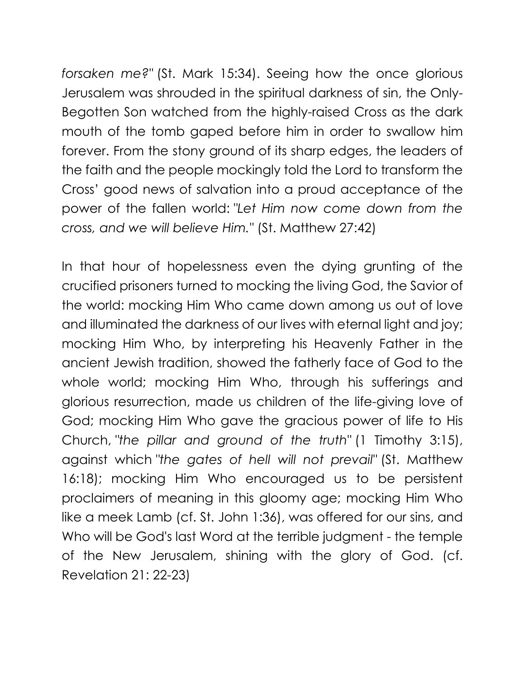*forsaken me?"* (St. Mark 15:34). Seeing how the once glorious Jerusalem was shrouded in the spiritual darkness of sin, the Only-Begotten Son watched from the highly-raised Cross as the dark mouth of the tomb gaped before him in order to swallow him forever. From the stony ground of its sharp edges, the leaders of the faith and the people mockingly told the Lord to transform the Cross' good news of salvation into a proud acceptance of the power of the fallen world: *"Let Him now come down from the cross, and we will believe Him."* (St. Matthew 27:42)

In that hour of hopelessness even the dying grunting of the crucified prisoners turned to mocking the living God, the Savior of the world: mocking Him Who came down among us out of love and illuminated the darkness of our lives with eternal light and joy; mocking Him Who, by interpreting his Heavenly Father in the ancient Jewish tradition, showed the fatherly face of God to the whole world; mocking Him Who, through his sufferings and glorious resurrection, made us children of the life-giving love of God; mocking Him Who gave the gracious power of life to His Church, *"the pillar and ground of the truth"* (1 Timothy 3:15), against which *"the gates of hell will not prevail"* (St. Matthew 16:18); mocking Him Who encouraged us to be persistent proclaimers of meaning in this gloomy age; mocking Him Who like a meek Lamb (cf. St. John 1:36), was offered for our sins, and Who will be God's last Word at the terrible judgment - the temple of the New Jerusalem, shining with the glory of God. (cf. Revelation 21: 22-23)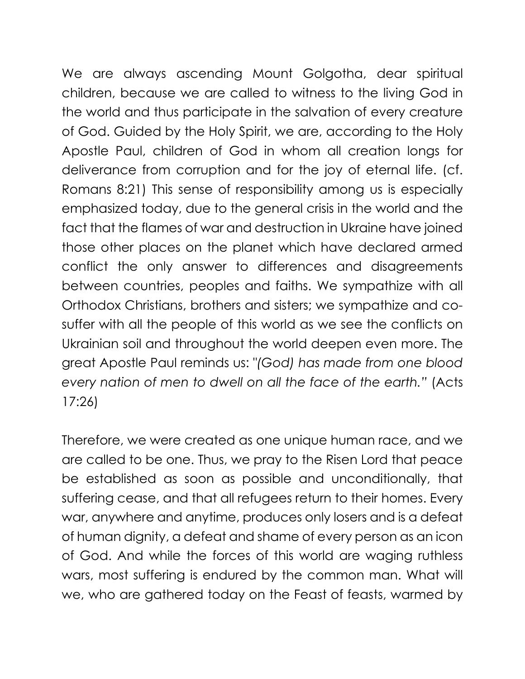We are always ascending Mount Golgotha, dear spiritual children, because we are called to witness to the living God in the world and thus participate in the salvation of every creature of God. Guided by the Holy Spirit, we are, according to the Holy Apostle Paul, children of God in whom all creation longs for deliverance from corruption and for the joy of eternal life. (cf. Romans 8:21) This sense of responsibility among us is especially emphasized today, due to the general crisis in the world and the fact that the flames of war and destruction in Ukraine have joined those other places on the planet which have declared armed conflict the only answer to differences and disagreements between countries, peoples and faiths. We sympathize with all Orthodox Christians, brothers and sisters; we sympathize and cosuffer with all the people of this world as we see the conflicts on Ukrainian soil and throughout the world deepen even more. The great Apostle Paul reminds us: *"(God) has made from one blood every nation of men to dwell on all the face of the earth."* (Acts 17:26)

Therefore, we were created as one unique human race, and we are called to be one. Thus, we pray to the Risen Lord that peace be established as soon as possible and unconditionally, that suffering cease, and that all refugees return to their homes. Every war, anywhere and anytime, produces only losers and is a defeat of human dignity, a defeat and shame of every person as an icon of God. And while the forces of this world are waging ruthless wars, most suffering is endured by the common man. What will we, who are gathered today on the Feast of feasts, warmed by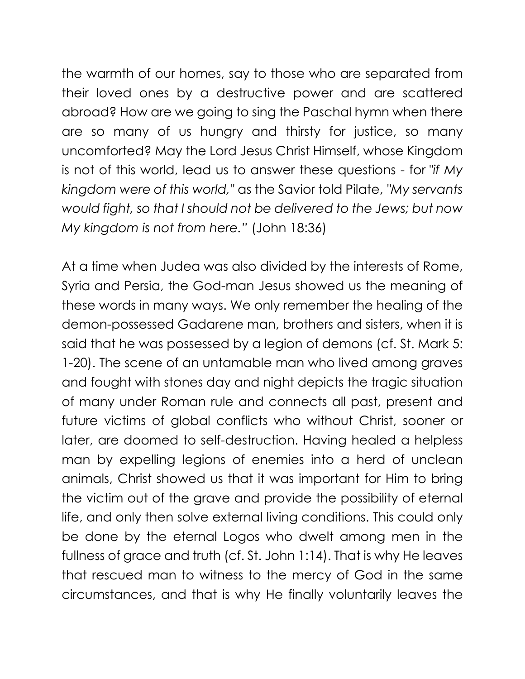the warmth of our homes, say to those who are separated from their loved ones by a destructive power and are scattered abroad? How are we going to sing the Paschal hymn when there are so many of us hungry and thirsty for justice, so many uncomforted? May the Lord Jesus Christ Himself, whose Kingdom is not of this world, lead us to answer these questions - for *"if My kingdom were of this world,"* as the Savior told Pilate, *"My servants would fight, so that I should not be delivered to the Jews; but now My kingdom is not from here."* (John 18:36)

At a time when Judea was also divided by the interests of Rome, Syria and Persia, the God-man Jesus showed us the meaning of these words in many ways. We only remember the healing of the demon-possessed Gadarene man, brothers and sisters, when it is said that he was possessed by a legion of demons (cf. St. Mark 5: 1-20). The scene of an untamable man who lived among graves and fought with stones day and night depicts the tragic situation of many under Roman rule and connects all past, present and future victims of global conflicts who without Christ, sooner or later, are doomed to self-destruction. Having healed a helpless man by expelling legions of enemies into a herd of unclean animals, Christ showed us that it was important for Him to bring the victim out of the grave and provide the possibility of eternal life, and only then solve external living conditions. This could only be done by the eternal Logos who dwelt among men in the fullness of grace and truth (cf. St. John 1:14). That is why He leaves that rescued man to witness to the mercy of God in the same circumstances, and that is why He finally voluntarily leaves the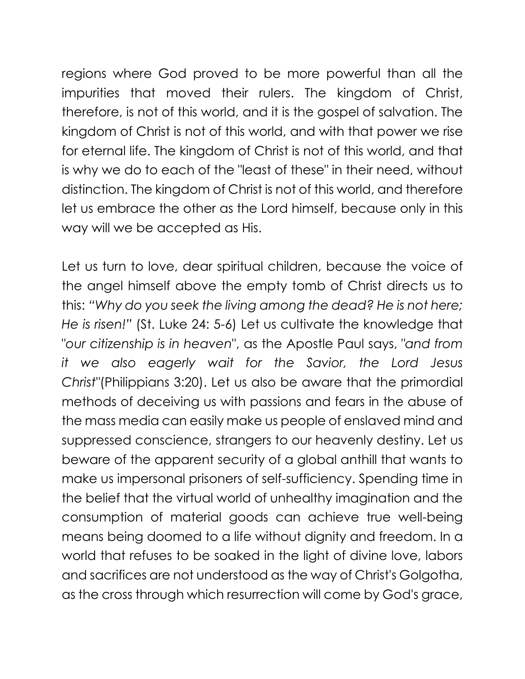regions where God proved to be more powerful than all the impurities that moved their rulers. The kingdom of Christ, therefore, is not of this world, and it is the gospel of salvation. The kingdom of Christ is not of this world, and with that power we rise for eternal life. The kingdom of Christ is not of this world, and that is why we do to each of the "least of these" in their need, without distinction. The kingdom of Christ is not of this world, and therefore let us embrace the other as the Lord himself, because only in this way will we be accepted as His.

Let us turn to love, dear spiritual children, because the voice of the angel himself above the empty tomb of Christ directs us to this: *"Why do you seek the living among the dead? He is not here; He is risen!"* (St. Luke 24: 5-6) Let us cultivate the knowledge that "*our citizenship is in heaven*", as the Apostle Paul says, *"and from it we also eagerly wait for the Savior, the Lord Jesus Christ"*(Philippians 3:20). Let us also be aware that the primordial methods of deceiving us with passions and fears in the abuse of the mass media can easily make us people of enslaved mind and suppressed conscience, strangers to our heavenly destiny. Let us beware of the apparent security of a global anthill that wants to make us impersonal prisoners of self-sufficiency. Spending time in the belief that the virtual world of unhealthy imagination and the consumption of material goods can achieve true well-being means being doomed to a life without dignity and freedom. In a world that refuses to be soaked in the light of divine love, labors and sacrifices are not understood as the way of Christ's Golgotha, as the cross through which resurrection will come by God's grace,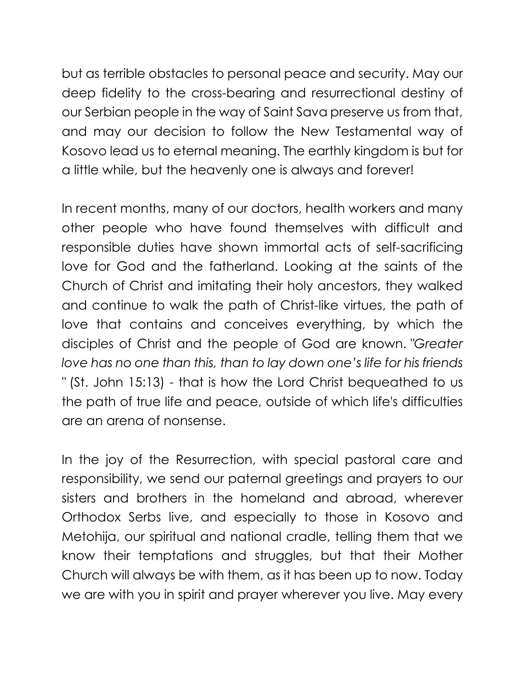but as terrible obstacles to personal peace and security. May our deep fidelity to the cross-bearing and resurrectional destiny of our Serbian people in the way of Saint Sava preserve us from that, and may our decision to follow the New Testamental way of Kosovo lead us to eternal meaning. The earthly kingdom is but for a little while, but the heavenly one is always and forever!

In recent months, many of our doctors, health workers and many other people who have found themselves with difficult and responsible duties have shown immortal acts of self-sacrificing love for God and the fatherland. Looking at the saints of the Church of Christ and imitating their holy ancestors, they walked and continue to walk the path of Christ-like virtues, the path of love that contains and conceives everything, by which the disciples of Christ and the people of God are known. *"Greater love has no one than this, than to lay down one's life for his friends "* (St. John 15:13) - that is how the Lord Christ bequeathed to us the path of true life and peace, outside of which life's difficulties are an arena of nonsense.

In the joy of the Resurrection, with special pastoral care and responsibility, we send our paternal greetings and prayers to our sisters and brothers in the homeland and abroad, wherever Orthodox Serbs live, and especially to those in Kosovo and Metohija, our spiritual and national cradle, telling them that we know their temptations and struggles, but that their Mother Church will always be with them, as it has been up to now. Today we are with you in spirit and prayer wherever you live. May every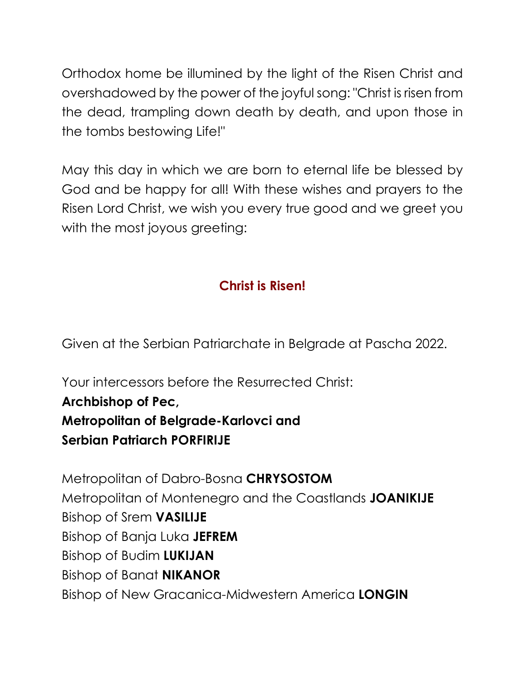Orthodox home be illumined by the light of the Risen Christ and overshadowed by the power of the joyful song: "Christ is risen from the dead, trampling down death by death, and upon those in the tombs bestowing Life!"

May this day in which we are born to eternal life be blessed by God and be happy for all! With these wishes and prayers to the Risen Lord Christ, we wish you every true good and we greet you with the most joyous greeting:

# **Christ is Risen!**

Given at the Serbian Patriarchate in Belgrade at Pascha 2022.

Your intercessors before the Resurrected Christ:

### **Archbishop of Pec,**

#### **Metropolitan of Belgrade-Karlovci and Serbian Patriarch PORFIRIJE**

Metropolitan of Dabro-Bosna **CHRYSOSTOM**  Metropolitan of Montenegro and the Coastlands **JOANIKIJE** Bishop of Srem **VASILIJE**  Bishop of Banja Luka **JEFREM** Bishop of Budim **LUKIJAN** Bishop of Banat **NIKANOR** Bishop of New Gracanica-Midwestern America **LONGIN**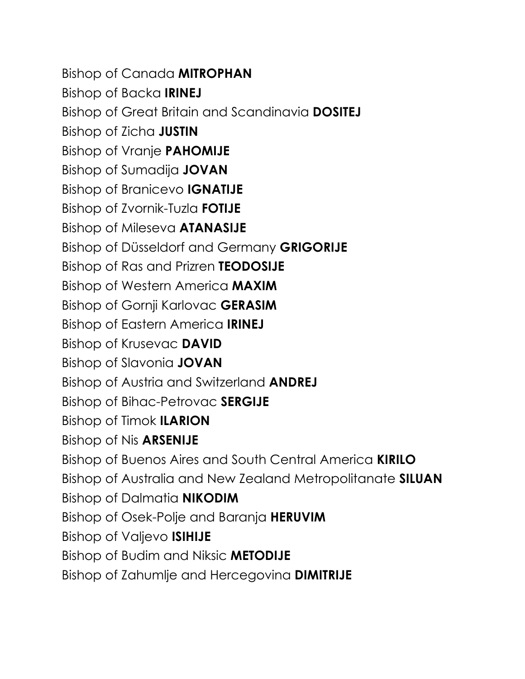Bishop of Canada **MITROPHAN** Bishop of Backa **IRINEJ** Bishop of Great Britain and Scandinavia **DOSITEJ** Bishop of Zicha **JUSTIN** Bishop of Vranje **PAHOMIJE** Bishop of Sumadija **JOVAN** Bishop of Branicevo **IGNATIJE**  Bishop of Zvornik-Tuzla **FOTIJE**  Bishop of Mileseva **ATANASIJE** Bishop of Düsseldorf and Germany **GRIGORIJE** Bishop of Ras and Prizren **TEODOSIJE** Bishop of Western America **MAXIM** Bishop of Gornji Karlovac **GERASIM**  Bishop of Eastern America **IRINEJ** Bishop of Krusevac **DAVID** Bishop of Slavonia **JOVAN**  Bishop of Austria and Switzerland **ANDREJ** Bishop of Bihac-Petrovac **SERGIJE**  Bishop of Timok **ILARION** Bishop of Nis **ARSENIJE**  Bishop of Buenos Aires and South Central America **KIRILO** Bishop of Australia and New Zealand Metropolitanate **SILUAN**  Bishop of Dalmatia **NIKODIM**  Bishop of Osek-Polje and Baranja **HERUVIM** Bishop of Valjevo **ISIHIJE** Bishop of Budim and Niksic **METODIJE**  Bishop of Zahumlje and Hercegovina **DIMITRIJE**